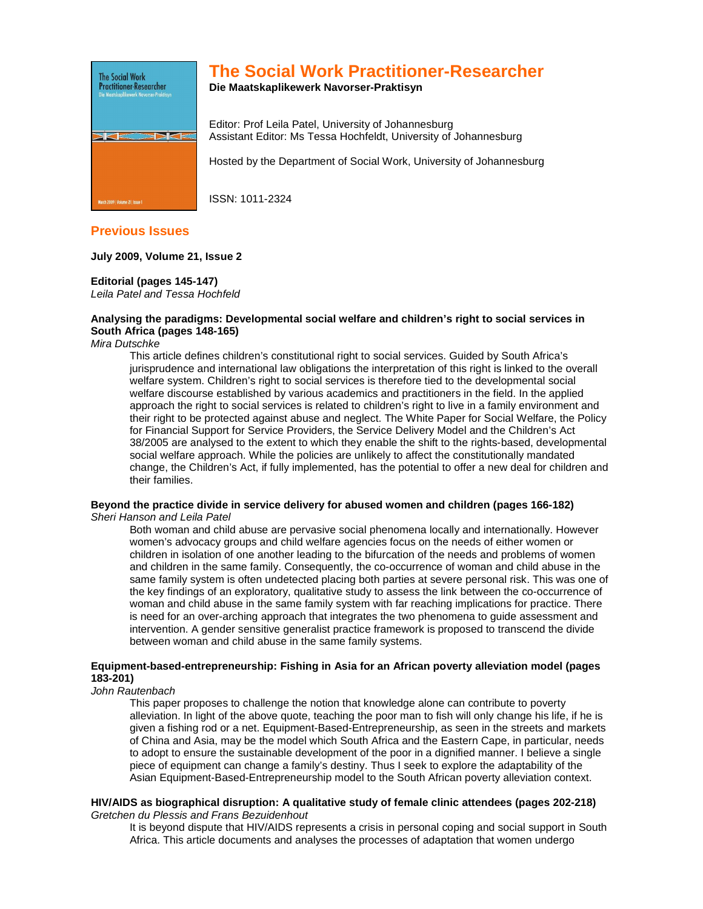

# **The Social Work Practitioner-Researcher**

**Die Maatskaplikewerk Navorser-Praktisyn** 

Editor: Prof Leila Patel, University of Johannesburg Assistant Editor: Ms Tessa Hochfeldt, University of Johannesburg

Hosted by the Department of Social Work, University of Johannesburg

ISSN: 1011-2324

# **Previous Issues**

## **July 2009, Volume 21, Issue 2**

## **Editorial (pages 145-147)**

Leila Patel and Tessa Hochfeld

## **Analysing the paradigms: Developmental social welfare and children's right to social services in South Africa (pages 148-165)**

Mira Dutschke

This article defines children's constitutional right to social services. Guided by South Africa's jurisprudence and international law obligations the interpretation of this right is linked to the overall welfare system. Children's right to social services is therefore tied to the developmental social welfare discourse established by various academics and practitioners in the field. In the applied approach the right to social services is related to children's right to live in a family environment and their right to be protected against abuse and neglect. The White Paper for Social Welfare, the Policy for Financial Support for Service Providers, the Service Delivery Model and the Children's Act 38/2005 are analysed to the extent to which they enable the shift to the rights-based, developmental social welfare approach. While the policies are unlikely to affect the constitutionally mandated change, the Children's Act, if fully implemented, has the potential to offer a new deal for children and their families.

#### **Beyond the practice divide in service delivery for abused women and children (pages 166-182)**  Sheri Hanson and Leila Patel

Both woman and child abuse are pervasive social phenomena locally and internationally. However women's advocacy groups and child welfare agencies focus on the needs of either women or children in isolation of one another leading to the bifurcation of the needs and problems of women and children in the same family. Consequently, the co-occurrence of woman and child abuse in the same family system is often undetected placing both parties at severe personal risk. This was one of the key findings of an exploratory, qualitative study to assess the link between the co-occurrence of woman and child abuse in the same family system with far reaching implications for practice. There is need for an over-arching approach that integrates the two phenomena to guide assessment and intervention. A gender sensitive generalist practice framework is proposed to transcend the divide between woman and child abuse in the same family systems.

## **Equipment-based-entrepreneurship: Fishing in Asia for an African poverty alleviation model (pages 183-201)**

John Rautenbach

This paper proposes to challenge the notion that knowledge alone can contribute to poverty alleviation. In light of the above quote, teaching the poor man to fish will only change his life, if he is given a fishing rod or a net. Equipment-Based-Entrepreneurship, as seen in the streets and markets of China and Asia, may be the model which South Africa and the Eastern Cape, in particular, needs to adopt to ensure the sustainable development of the poor in a dignified manner. I believe a single piece of equipment can change a family's destiny. Thus I seek to explore the adaptability of the Asian Equipment-Based-Entrepreneurship model to the South African poverty alleviation context.

#### **HIV/AIDS as biographical disruption: A qualitative study of female clinic attendees (pages 202-218)**  Gretchen du Plessis and Frans Bezuidenhout

It is beyond dispute that HIV/AIDS represents a crisis in personal coping and social support in South Africa. This article documents and analyses the processes of adaptation that women undergo